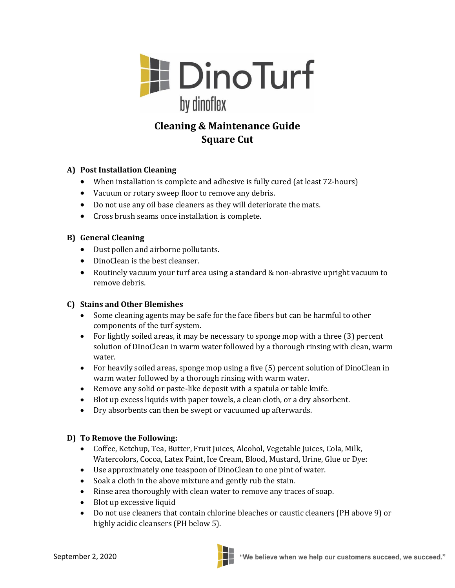

# **Cleaning & Maintenance Guide Square Cut**

## **A) Post Installation Cleaning**

- When installation is complete and adhesive is fully cured (at least 72-hours)
- Vacuum or rotary sweep floor to remove any debris.
- Do not use any oil base cleaners as they will deteriorate the mats.
- Cross brush seams once installation is complete.

#### **B) General Cleaning**

- Dust pollen and airborne pollutants.
- DinoClean is the best cleanser.
- Routinely vacuum your turf area using a standard & non-abrasive upright vacuum to remove debris.

#### **C) Stains and Other Blemishes**

- Some cleaning agents may be safe for the face fibers but can be harmful to other components of the turf system.
- For lightly soiled areas, it may be necessary to sponge mop with a three (3) percent solution of DInoClean in warm water followed by a thorough rinsing with clean, warm water.
- For heavily soiled areas, sponge mop using a five (5) percent solution of DinoClean in warm water followed by a thorough rinsing with warm water.
- Remove any solid or paste-like deposit with a spatula or table knife.
- Blot up excess liquids with paper towels, a clean cloth, or a dry absorbent.
- Dry absorbents can then be swept or vacuumed up afterwards.

#### **D) To Remove the Following:**

- Coffee, Ketchup, Tea, Butter, Fruit Juices, Alcohol, Vegetable Juices, Cola, Milk, Watercolors, Cocoa, Latex Paint, Ice Cream, Blood, Mustard, Urine, Glue or Dye:
- Use approximately one teaspoon of DinoClean to one pint of water.
- Soak a cloth in the above mixture and gently rub the stain.
- Rinse area thoroughly with clean water to remove any traces of soap.
- Blot up excessive liquid
- Do not use cleaners that contain chlorine bleaches or caustic cleaners (PH above 9) or highly acidic cleansers (PH below 5).